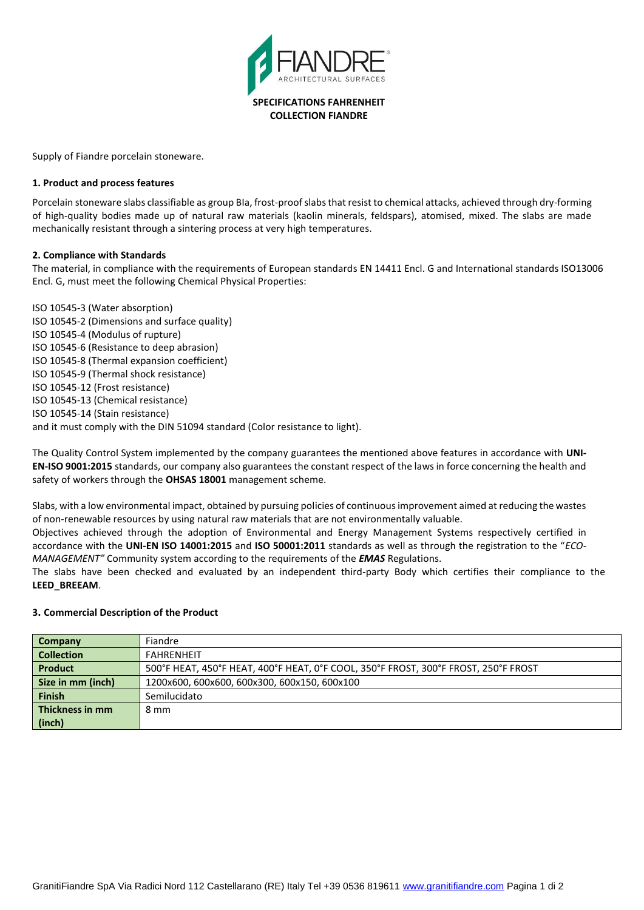

Supply of Fiandre porcelain stoneware.

#### **1. Product and process features**

Porcelain stoneware slabs classifiable as group BIa, frost-proof slabs that resist to chemical attacks, achieved through dry-forming of high-quality bodies made up of natural raw materials (kaolin minerals, feldspars), atomised, mixed. The slabs are made mechanically resistant through a sintering process at very high temperatures.

### **2. Compliance with Standards**

The material, in compliance with the requirements of European standards EN 14411 Encl. G and International standards ISO13006 Encl. G, must meet the following Chemical Physical Properties:

ISO 10545-3 (Water absorption) ISO 10545-2 (Dimensions and surface quality) ISO 10545-4 (Modulus of rupture) ISO 10545-6 (Resistance to deep abrasion) ISO 10545-8 (Thermal expansion coefficient) ISO 10545-9 (Thermal shock resistance) ISO 10545-12 (Frost resistance) ISO 10545-13 (Chemical resistance) ISO 10545-14 (Stain resistance) and it must comply with the DIN 51094 standard (Color resistance to light).

The Quality Control System implemented by the company guarantees the mentioned above features in accordance with **UNI-EN-ISO 9001:2015** standards, our company also guarantees the constant respect of the laws in force concerning the health and safety of workers through the **OHSAS 18001** management scheme.

Slabs, with a low environmental impact, obtained by pursuing policies of continuous improvement aimed at reducing the wastes of non-renewable resources by using natural raw materials that are not environmentally valuable.

Objectives achieved through the adoption of Environmental and Energy Management Systems respectively certified in accordance with the **UNI-EN ISO 14001:2015** and **ISO 50001:2011** standards as well as through the registration to the "*ECO-MANAGEMENT"* Community system according to the requirements of the *EMAS* Regulations.

The slabs have been checked and evaluated by an independent third-party Body which certifies their compliance to the **LEED\_BREEAM**.

### **3. Commercial Description of the Product**

| Company           | Fiandre                                                                             |
|-------------------|-------------------------------------------------------------------------------------|
| <b>Collection</b> | <b>FAHRFNHFIT</b>                                                                   |
| Product           | 500°F HEAT, 450°F HEAT, 400°F HEAT, 0°F COOL, 350°F FROST, 300°F FROST, 250°F FROST |
| Size in mm (inch) | 1200x600, 600x600, 600x300, 600x150, 600x100                                        |
| <b>Finish</b>     | Semilucidato                                                                        |
| Thickness in mm   | 8 mm                                                                                |
| (inch)            |                                                                                     |